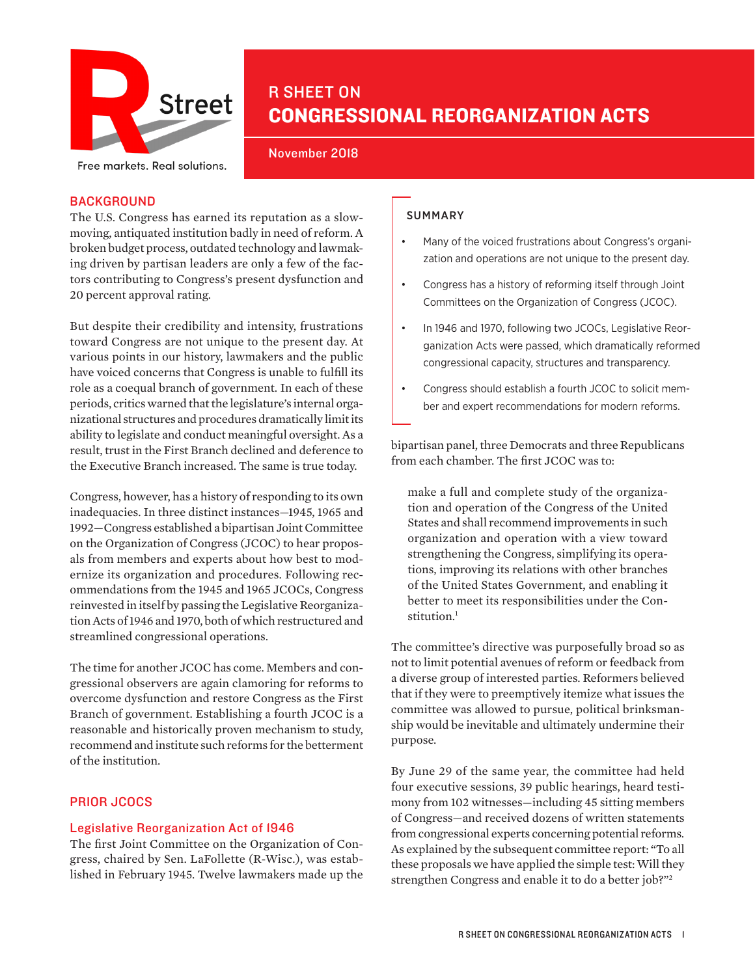

# R SHEET ON CONGRESSIONAL REORGANIZATION ACTS

November 2018

Free markets. Real solutions.

## BACKGROUND

The U.S. Congress has earned its reputation as a slowmoving, antiquated institution badly in need of reform. A broken budget process, outdated technology and lawmaking driven by partisan leaders are only a few of the factors contributing to Congress's present dysfunction and [20 percent approval rating.](https://www.realclearpolitics.com/epolls/other/congressional_job_approval-903.html)

But despite their credibility and intensity, frustrations toward Congress are not unique to the present day. At various points in our history, lawmakers and the public have voiced concerns that Congress is unable to fulfill its role as a coequal branch of government. In each of these periods, critics warned that the legislature's internal organizational structures and procedures dramatically limit its ability to legislate and conduct meaningful oversight. As a result, trust in the First Branch declined and deference to the Executive Branch increased. The same is true today.

Congress, however, has a history of responding to its own inadequacies. In three distinct instances—1945, 1965 and 1992—Congress established a bipartisan Joint Committee on the Organization of Congress (JCOC) to hear proposals from members and experts about how best to modernize its organization and procedures. Following recommendations from the 1945 and 1965 JCOCs, Congress reinvested in itself by passing the Legislative Reorganization Acts of 1946 and 1970, both of which restructured and streamlined congressional operations.

The time for another JCOC has come. Members and congressional observers are again clamoring for reforms to overcome dysfunction and restore Congress as the First Branch of government. Establishing a fourth JCOC is a reasonable and historically proven mechanism to study, recommend and institute such reforms for the betterment of the institution.

## PRIOR JCOCS

## Legislative Reorganization Act of 1946

The first Joint Committee on the Organization of Congress, chaired by Sen. LaFollette (R-Wisc.), was established in February 1945. Twelve lawmakers made up the

## **SUMMARY**

- Many of the voiced frustrations about Congress's organization and operations are not unique to the present day.
- Congress has a history of reforming itself through Joint Committees on the Organization of Congress (JCOC).
- In 1946 and 1970, following two JCOCs, Legislative Reorganization Acts were passed, which dramatically reformed congressional capacity, structures and transparency.
- Congress should establish a fourth JCOC to solicit member and expert recommendations for modern reforms.

bipartisan panel, three Democrats and three Republicans from each chamber. The first JCOC was to:

make a full and complete study of the organization and operation of the Congress of the United States and shall recommend improvements in such organization and operation with a view toward strengthening the Congress, simplifying its operations, improving its relations with other branches of the United States Government, and enabling it better to meet its responsibilities under the Constitution.<sup>1</sup>

The committee's directive was purposefully broad so as not to limit potential avenues of reform or feedback from a diverse group of interested parties. Reformers believed that if they were to preemptively itemize what issues the committee was allowed to pursue, political brinksmanship would be inevitable and ultimately undermine their purpose.

By June 29 of the same year, the committee had held four executive sessions, 39 public hearings, heard testimony from 102 witnesses—including 45 sitting members of Congress—and received dozens of written statements from congressional experts concerning potential reforms. As explained by the subsequent committee report: "To all these proposals we have applied the simple test: Will they strengthen Congress and enable it to do a better job?"2